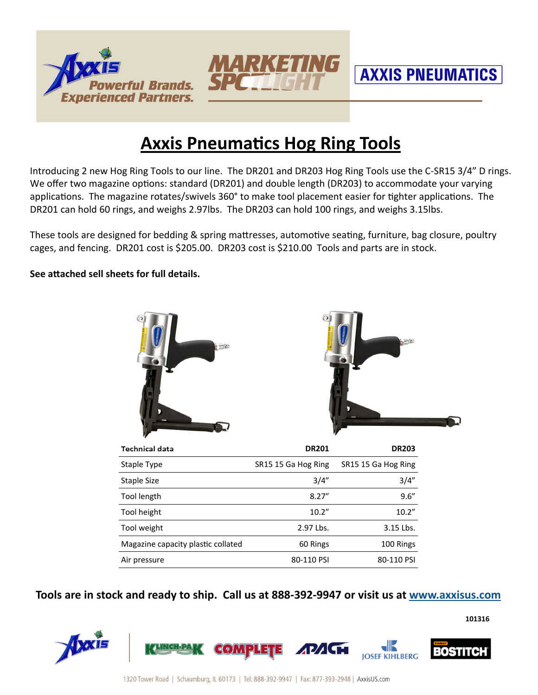





**101316** 

## **Axxis Pneumatics Hog Ring Tools**

Introducing 2 new Hog Ring Tools to our line. The DR201 and DR203 Hog Ring Tools use the C-SR15 3/4" D rings. We offer two magazine options: standard (DR201) and double length (DR203) to accommodate your varying applications. The magazine rotates/swivels 360° to make tool placement easier for tighter applications. The DR201 can hold 60 rings, and weighs 2.97lbs. The DR203 can hold 100 rings, and weighs 3.15lbs.

These tools are designed for bedding & spring mattresses, automotive seating, furniture, bag closure, poultry cages, and fencing. DR201 cost is \$205.00. DR203 cost is \$210.00 Tools and parts are in stock.

**See attached sell sheets for full details.** 



| <b>Technical data</b>              | <b>DR201</b>        | <b>DR203</b>        |
|------------------------------------|---------------------|---------------------|
| Staple Type                        | SR15 15 Ga Hog Ring | SR15 15 Ga Hog Ring |
| Staple Size                        | 3/4"                | 3/4''               |
| Tool length                        | 8.27''              | 9.6''               |
| Tool height                        | 10.2"               | 10.2"               |
| Tool weight                        | 2.97 Lbs.           | 3.15 Lbs.           |
| Magazine capacity plastic collated | 60 Rings            | 100 Rings           |
| Air pressure                       | 80-110 PSI          | 80-110 PSI          |

**Tools are in stock and ready to ship. Call us at 888-392-9947 or visit us at www.axxisus.com**

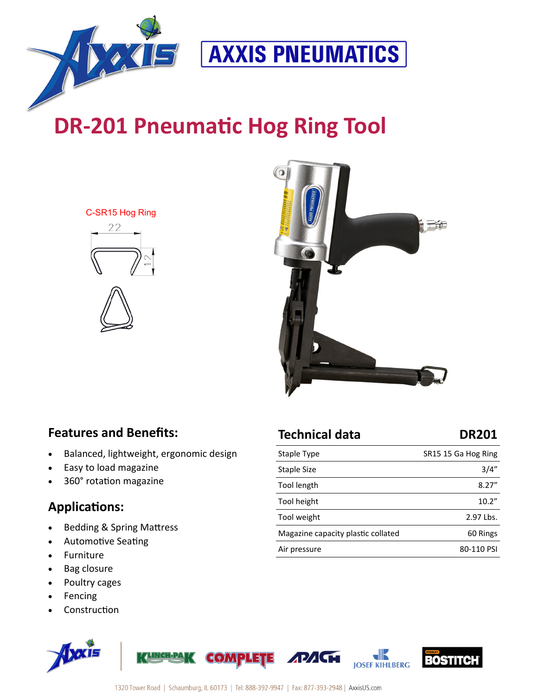

## **DR-201 Pneumatic Hog Ring Tool**

C-SR15 Hog Ring





### **Features and Benefits:**

• Balanced, lightweight, ergonomic design

**UNIGH-PANZ** 

- Easy to load magazine
- 360° rotation magazine

### **Applications:**

- Bedding & Spring Mattress
- Automotive Seating
- Furniture
- Bag closure
- Poultry cages
- Fencing
- **Construction**





| Staple Type                        | SR15 15 Ga Hog Ring |
|------------------------------------|---------------------|
| Staple Size                        | 3/4''               |
| Tool length                        | 8.27''              |
| Tool height                        | 10.2"               |
| Tool weight                        | 2.97 Lbs.           |
| Magazine capacity plastic collated | 60 Rings            |
| Air pressure                       | 80-110 PSI          |